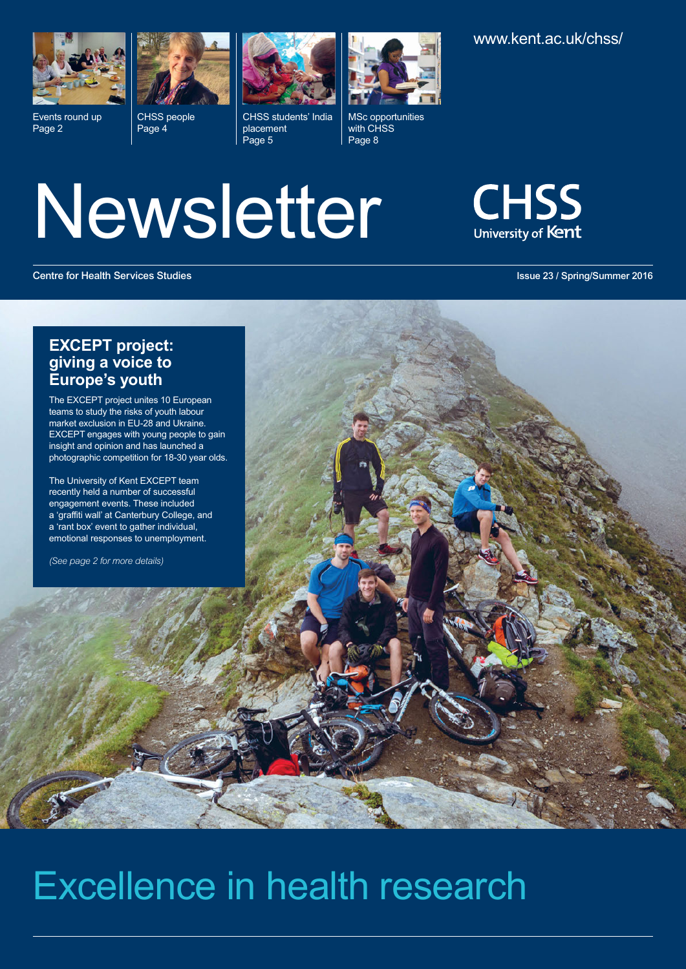

Events round up Page 2



CHSS people Page 4



CHSS students' India placement Page 5



MSc opportunities with CHSS Page 8

Newsletter



**Centre for Health Services Studies Issue 23 / Spring/Summer 2016**

## **EXCEPT project: giving a voice to Europe's youth**

The EXCEPT project unites 10 European teams to study the risks of youth labour market exclusion in EU-28 and Ukraine. EXCEPT engages with young people to gain insight and opinion and has launched a photographic competition for 18-30 year olds.

The University of Kent EXCEPT team recently held a number of successful engagement events. These included a 'graffiti wall' at Canterbury College, and a 'rant box' event to gather individual, emotional responses to unemployment.

*(See page 2 for more details)*

# Excellence in health research

<www.kent.ac.uk/chss/>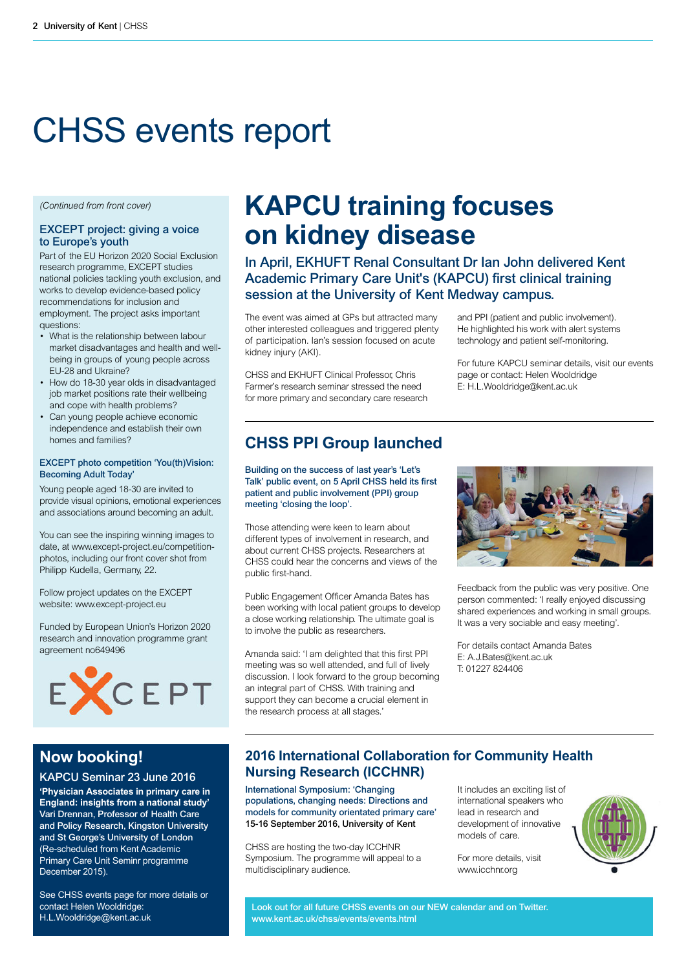# CHSS events report

*(Continued from front cover)*

#### **EXCEPT project: giving a voice to Europe's youth**

Part of the EU Horizon 2020 Social Exclusion research programme, EXCEPT studies national policies tackling youth exclusion, and works to develop evidence-based policy recommendations for inclusion and employment. The project asks important questions:

- What is the relationship between labour market disadvantages and health and wellbeing in groups of young people across EU-28 and Ukraine?
- How do 18-30 year olds in disadvantaged job market positions rate their wellbeing and cope with health problems?
- Can young people achieve economic independence and establish their own homes and families?

#### **EXCEPT photo competition 'You(th)Vision: Becoming Adult Today'**

Young people aged 18-30 are invited to provide visual opinions, emotional experiences and associations around becoming an adult.

You can see the inspiring winning images to date, at www.except-project.eu/competitionphotos, including our front cover shot from Philipp Kudella, Germany, 22.

Follow project updates on the EXCEPT website: www.except-project.eu

Funded by European Union's Horizon 2020 research and innovation programme grant agreement no649496



## **Now booking!**

**KAPCU Seminar 23 June 2016 'Physician Associates in primary care in England: insights from a national study' Vari Drennan, Professor of Health Care and Policy Research, Kingston University and St George's University of London** (Re-scheduled from Kent Academic Primary Care Unit Seminr programme December 2015).

See CHSS events page for more details or contact Helen Wooldridge: H.L.Wooldridge@kent.ac.uk

## **KAPCU training focuses on kidney disease**

**In April, EKHUFT Renal Consultant Dr Ian John delivered Kent Academic Primary Care Unit's (KAPCU) first clinical training session at the University of Kent Medway campus.**

The event was aimed at GPs but attracted many other interested colleagues and triggered plenty of participation. Ian's session focused on acute kidney injury (AKI).

CHSS and EKHUFT Clinical Professor, Chris Farmer's research seminar stressed the need for more primary and secondary care research and PPI (patient and public involvement). He highlighted his work with alert systems technology and patient self-monitoring.

For future KAPCU seminar details, visit our events page or contact: Helen Wooldridge E: H.L.Wooldridge@kent.ac.uk

## **CHSS PPI Group launched**

**Building on the success of last year's 'Let's Talk' public event, on 5 April CHSS held its first patient and public involvement (PPI) group meeting 'closing the loop'.**

Those attending were keen to learn about different types of involvement in research, and about current CHSS projects. Researchers at CHSS could hear the concerns and views of the public first-hand.

Public Engagement Officer Amanda Bates has been working with local patient groups to develop a close working relationship. The ultimate goal is to involve the public as researchers.

Amanda said: 'I am delighted that this first PPI meeting was so well attended, and full of lively discussion. I look forward to the group becoming an integral part of CHSS. With training and support they can become a crucial element in the research process at all stages.'



Feedback from the public was very positive. One person commented: 'I really enjoyed discussing shared experiences and working in small groups. It was a very sociable and easy meeting'.

For details contact Amanda Bates E: A.J.Bates@kent.ac.uk T: 01227 824406

## **2016 International Collaboration for Community Health Nursing Research (ICCHNR)**

**International Symposium: 'Changing populations, changing needs: Directions and models for community orientated primary care' 15-16 September 2016, University of Kent**

CHSS are hosting the two-day ICCHNR Symposium. The programme will appeal to a multidisciplinary audience.

It includes an exciting list of international speakers who lead in research and development of innovative models of care.

For more details, visit www.icchnrorg



**Look out for all future CHSS events on our NEW calendar and on Twitter. www.kent.ac.uk/chss/events/events.html**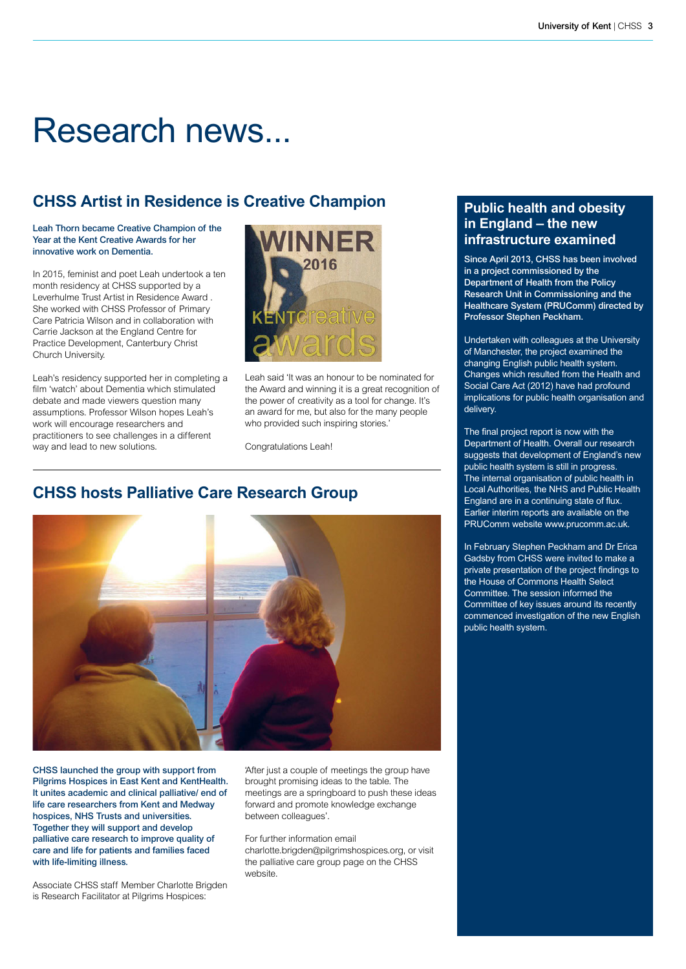# Research news...

## **CHSS Artist in Residence is Creative Champion**

#### **Leah Thorn became Creative Champion of the Year at the Kent Creative Awards for her innovative work on Dementia.**

In 2015, feminist and poet Leah undertook a ten month residency at CHSS supported by a Leverhulme Trust Artist in Residence Award . She worked with CHSS Professor of Primary Care Patricia Wilson and in collaboration with Carrie Jackson at the England Centre for Practice Development, Canterbury Christ Church University.

Leah's residency supported her in completing a film 'watch' about Dementia which stimulated debate and made viewers question many assumptions. Professor Wilson hopes Leah's work will encourage researchers and practitioners to see challenges in a different way and lead to new solutions.



Leah said 'It was an honour to be nominated for the Award and winning it is a great recognition of the power of creativity as a tool for change. It's an award for me, but also for the many people who provided such inspiring stories.'

Congratulations Leah!

## **CHSS hosts Palliative Care Research Group**



**CHSS launched the group with support from Pilgrims Hospices in East Kent and KentHealth. It unites academic and clinical palliative/ end of life care researchers from Kent and Medway hospices, NHS Trusts and universities. Together they will support and develop palliative care research to improve quality of care and life for patients and families faced with life-limiting illness.** 

Associate CHSS staff Member Charlotte Brigden is Research Facilitator at Pilgrims Hospices:

'After just a couple of meetings the group have brought promising ideas to the table. The meetings are a springboard to push these ideas forward and promote knowledge exchange between colleagues'.

For further information email

charlotte.brigden@pilgrimshospices.org, or visit the palliative care group page on the CHSS website.

### **Public health and obesity in England – the new infrastructure examined**

**Since April 2013, CHSS has been involved in a project commissioned by the Department of Health from the Policy Research Unit in Commissioning and the Healthcare System (PRUComm) directed by Professor Stephen Peckham.** 

Undertaken with colleagues at the University of Manchester, the project examined the changing English public health system. Changes which resulted from the Health and Social Care Act (2012) have had profound implications for public health organisation and delivery.

The final project report is now with the Department of Health. Overall our research suggests that development of England's new public health system is still in progress. The internal organisation of public health in Local Authorities, the NHS and Public Health England are in a continuing state of flux. Earlier interim reports are available on the PRUComm website www.prucomm.ac.uk.

In February Stephen Peckham and Dr Erica Gadsby from CHSS were invited to make a private presentation of the project findings to the House of Commons Health Select Committee. The session informed the Committee of key issues around its recently commenced investigation of the new English public health system.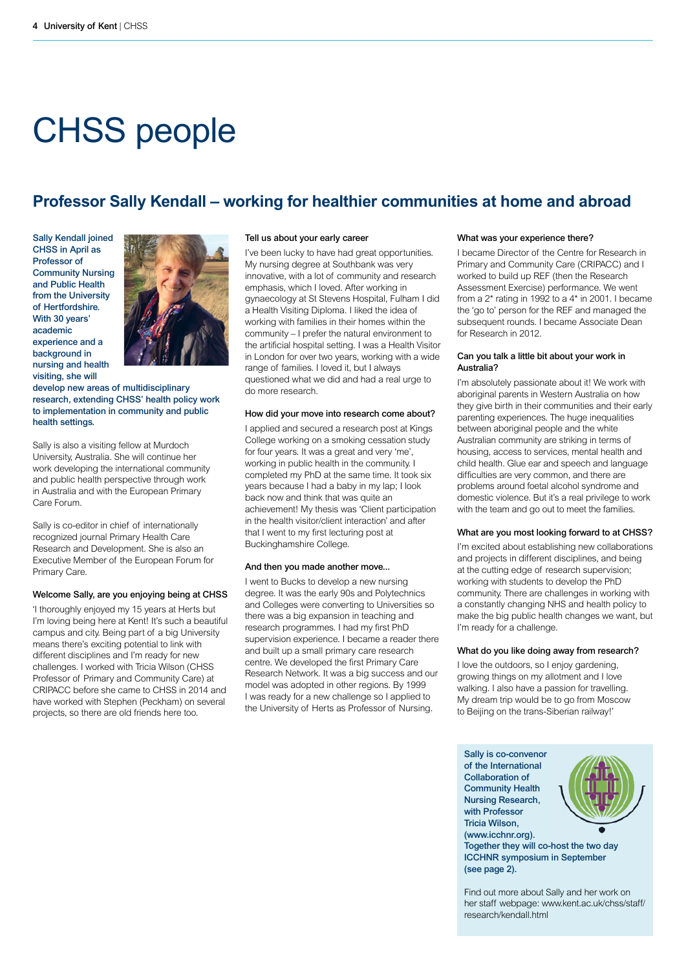# CHSS people

## **Professor Sally Kendall – working for healthier communities at home and abroad**

**Sally Kendall joined CHSS in April as Professor of Community Nursing and Public Health from the University of Hertfordshire. With 30 years' academic experience and a background in nursing and health visiting, she will**



**develop new areas of multidisciplinary research, extending CHSS' health policy work to implementation in community and public health settings.** 

Sally is also a visiting fellow at Murdoch University, Australia. She will continue her work developing the international community and public health perspective through work in Australia and with the European Primary Care Forum.

Sally is co-editor in chief of internationally recognized journal Primary Health Care Research and Development. She is also an Executive Member of the European Forum for Primary Care.

#### **Welcome Sally, are you enjoying being at CHSS**

'I thoroughly enjoyed my 15 years at Herts but I'm loving being here at Kent! It's such a beautiful campus and city. Being part of a big University means there's exciting potential to link with different disciplines and I'm ready for new challenges. I worked with Tricia Wilson (CHSS Professor of Primary and Community Care) at CRIPACC before she came to CHSS in 2014 and have worked with Stephen (Peckham) on several projects, so there are old friends here too.

#### **Tell us about your early career**

I've been lucky to have had great opportunities. My nursing degree at Southbank was very innovative, with a lot of community and research emphasis, which I loved. After working in gynaecology at St Stevens Hospital, Fulham I did a Health Visiting Diploma. I liked the idea of working with families in their homes within the community – I prefer the natural environment to the artificial hospital setting. I was a Health Visitor in London for over two years, working with a wide range of families. I loved it, but I always questioned what we did and had a real urge to do more research.

#### **How did your move into research come about?**

I applied and secured a research post at Kings College working on a smoking cessation study for four years. It was a great and very 'me', working in public health in the community. I completed my PhD at the same time. It took six years because I had a baby in my lap; I look back now and think that was quite an achievement! My thesis was 'Client participation in the health visitor/client interaction' and after that I went to my first lecturing post at Buckinghamshire College.

#### **And then you made another move...**

I went to Bucks to develop a new nursing degree. It was the early 90s and Polytechnics and Colleges were converting to Universities so there was a big expansion in teaching and research programmes. I had my first PhD supervision experience. I became a reader there and built up a small primary care research centre. We developed the first Primary Care Research Network. It was a big success and our model was adopted in other regions. By 1999 I was ready for a new challenge so I applied to the University of Herts as Professor of Nursing.

#### **What was your experience there?**

I became Director of the Centre for Research in Primary and Community Care (CRIPACC) and I worked to build up REF (then the Research Assessment Exercise) performance. We went from a 2\* rating in 1992 to a 4\* in 2001. I became the 'go to' person for the REF and managed the subsequent rounds. I became Associate Dean for Research in 2012.

#### **Can you talk a little bit about your work in Australia?**

I'm absolutely passionate about it! We work with aboriginal parents in Western Australia on how they give birth in their communities and their early parenting experiences. The huge inequalities between aboriginal people and the white Australian community are striking in terms of housing, access to services, mental health and child health. Glue ear and speech and language difficulties are very common, and there are problems around foetal alcohol syndrome and domestic violence. But it's a real privilege to work with the team and go out to meet the families.

#### **What are you most looking forward to at CHSS?**

I'm excited about establishing new collaborations and projects in different disciplines, and being at the cutting edge of research supervision; working with students to develop the PhD community. There are challenges in working with a constantly changing NHS and health policy to make the big public health changes we want, but I'm ready for a challenge.

#### **What do you like doing away from research?**

I love the outdoors, so I enjoy gardening, growing things on my allotment and I love walking. I also have a passion for travelling. My dream trip would be to go from Moscow to Beijing on the trans-Siberian railway!'

**Sally is co-convenor of the International Collaboration of Community Health Nursing Research, with Professor Tricia Wilson, (www.icchnr.org).**



**Together they will co-host the two day ICCHNR symposium in September (see page 2).**

Find out more about Sally and her work on her staff webpage: www.kent.ac.uk/chss/staff/ research/kendall.html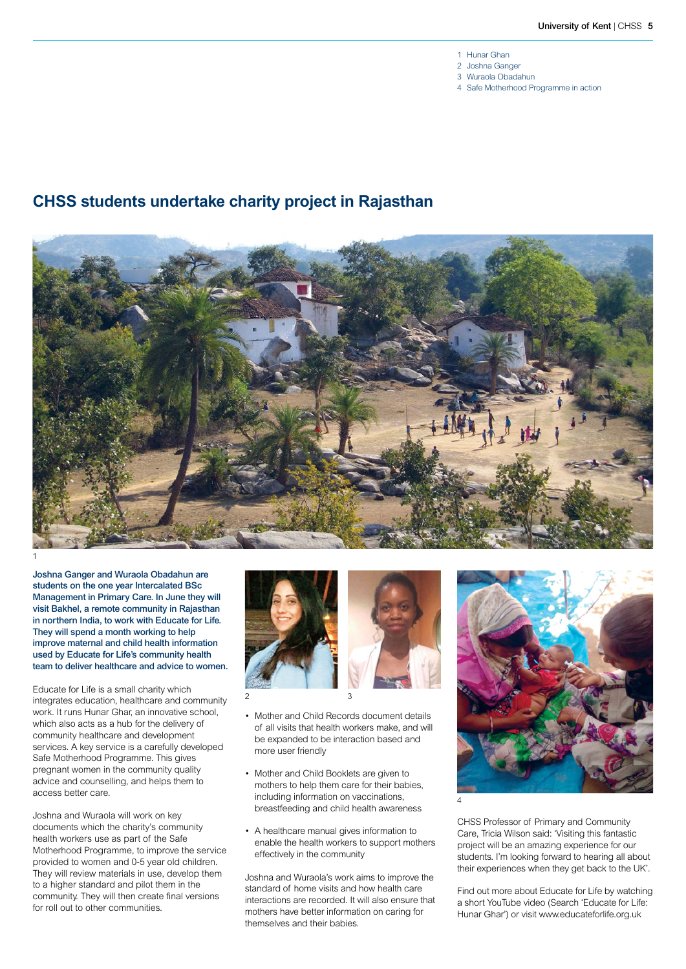- 1 Hunar Ghan
- 2 Joshna Ganger
- 3 Wuraola Obadahun
- 4 Safe Motherhood Programme in action

## **CHSS students undertake charity project in Rajasthan**



**Joshna Ganger and Wuraola Obadahun are students on the one year Intercalated BSc Management in Primary Care. In June they will visit Bakhel, a remote community in Rajasthan in northern India, to work with Educate for Life. They will spend a month working to help improve maternal and child health information used by Educate for Life's community health team to deliver healthcare and advice to women.**

Educate for Life is a small charity which integrates education, healthcare and community work. It runs Hunar Ghar, an innovative school, which also acts as a hub for the delivery of community healthcare and development services. A key service is a carefully developed Safe Motherhood Programme. This gives pregnant women in the community quality advice and counselling, and helps them to access better care.

Joshna and Wuraola will work on key documents which the charity's community health workers use as part of the Safe Motherhood Programme, to improve the service provided to women and 0-5 year old children. They will review materials in use, develop them to a higher standard and pilot them in the community. They will then create final versions for roll out to other communities.





- Mother and Child Records document details of all visits that health workers make, and will be expanded to be interaction based and more user friendly
- Mother and Child Booklets are given to mothers to help them care for their babies, including information on vaccinations, breastfeeding and child health awareness
- A healthcare manual gives information to enable the health workers to support mothers effectively in the community

Joshna and Wuraola's work aims to improve the standard of home visits and how health care interactions are recorded. It will also ensure that mothers have better information on caring for themselves and their babies.



CHSS Professor of Primary and Community Care, Tricia Wilson said: 'Visiting this fantastic project will be an amazing experience for our students. I'm looking forward to hearing all about their experiences when they get back to the UK'.

Find out more about Educate for Life by watching a short YouTube video (Search 'Educate for Life: Hunar Ghar') or visit www.educateforlife.org.uk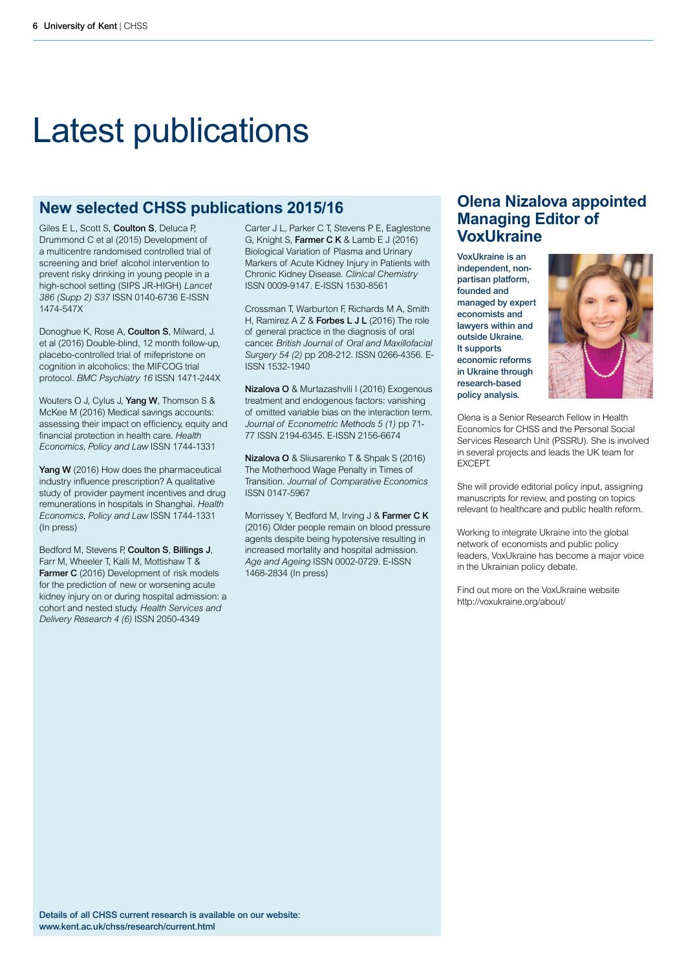# Latest publications

## **New selected CHSS publications 2015/16**

Giles E L, Scott S, **Coulton S**, Deluca P, Drummond C et al (2015) Development of a multicentre randomised controlled trial of screening and brief alcohol intervention to prevent risky drinking in young people in a high-school setting (SIPS JR-HIGH) *Lancet 386 (Supp 2) S37* ISSN 0140-6736 E-ISSN 1474-547X

Donoghue K, Rose A, **Coulton S**, Milward, J. et al (2016) Double-blind, 12 month follow-up, placebo-controlled trial of mifepristone on cognition in alcoholics: the MIFCOG trial protocol. *BMC Psychiatry 16* ISSN 1471-244X

Wouters O J, Cylus J, **Yang W**, Thomson S & McKee M (2016) Medical savings accounts: assessing their impact on efficiency, equity and financial protection in health care. *Health Economics, Policy and Law* ISSN 1744-1331

Yang W (2016) How does the pharmaceutical industry influence prescription? A qualitative study of provider payment incentives and drug remunerations in hospitals in Shanghai. *Health Economics, Policy and Law* ISSN 1744-1331 (In press)

Bedford M, Stevens P, **Coulton S**, **Billings J**, Farr M, Wheeler T, Kalli M, Mottishaw T & **Farmer C** (2016) Development of risk models for the prediction of new or worsening acute kidney injury on or during hospital admission: a cohort and nested study. *Health Services and Delivery Research 4 (6)* ISSN 2050-4349

Carter J L, Parker C T, Stevens P E, Eaglestone G, Knight S, **Farmer C K** & Lamb E J (2016) Biological Variation of Plasma and Urinary Markers of Acute Kidney Injury in Patients with Chronic Kidney Disease. *Clinical Chemistry* ISSN 0009-9147. E-ISSN 1530-8561

Crossman T, Warburton F, Richards M A, Smith H, Ramirez A Z & **Forbes L J L** (2016) The role of general practice in the diagnosis of oral cancer. *British Journal of Oral and Maxillofacial Surgery 54 (2)* pp 208-212. ISSN 0266-4356. E-ISSN 1532-1940

**Nizalova O** & Murtazashvili I (2016) Exogenous treatment and endogenous factors: vanishing of omitted variable bias on the interaction term. *Journal of Econometric Methods 5 (1)* pp 71- 77 ISSN 2194-6345. E-ISSN 2156-6674

**Nizalova O** & Sliusarenko T & Shpak S (2016) The Motherhood Wage Penalty in Times of Transition. *Journal of Comparative Economics* ISSN 0147-5967

Morrissey Y, Bedford M, Irving J & **Farmer C K** (2016) Older people remain on blood pressure agents despite being hypotensive resulting in increased mortality and hospital admission. *Age and Ageing* ISSN 0002-0729. E-ISSN 1468-2834 (In press)

## **Olena Nizalova appointed Managing Editor of VoxUkraine**

**VoxUkraine is an independent, nonpartisan platform, founded and managed by expert economists and lawyers within and outside Ukraine. It supports economic reforms in Ukraine through research-based policy analysis.** 



Olena is a Senior Research Fellow in Health Economics for CHSS and the Personal Social Services Research Unit (PSSRU). She is involved in several projects and leads the UK team for EXCEPT.

She will provide editorial policy input, assigning manuscripts for review, and posting on topics relevant to healthcare and public health reform.

Working to integrate Ukraine into the global network of economists and public policy leaders, VoxUkraine has become a major voice in the Ukrainian policy debate.

Find out more on the VoxUkraine website http://voxukraine.org/about/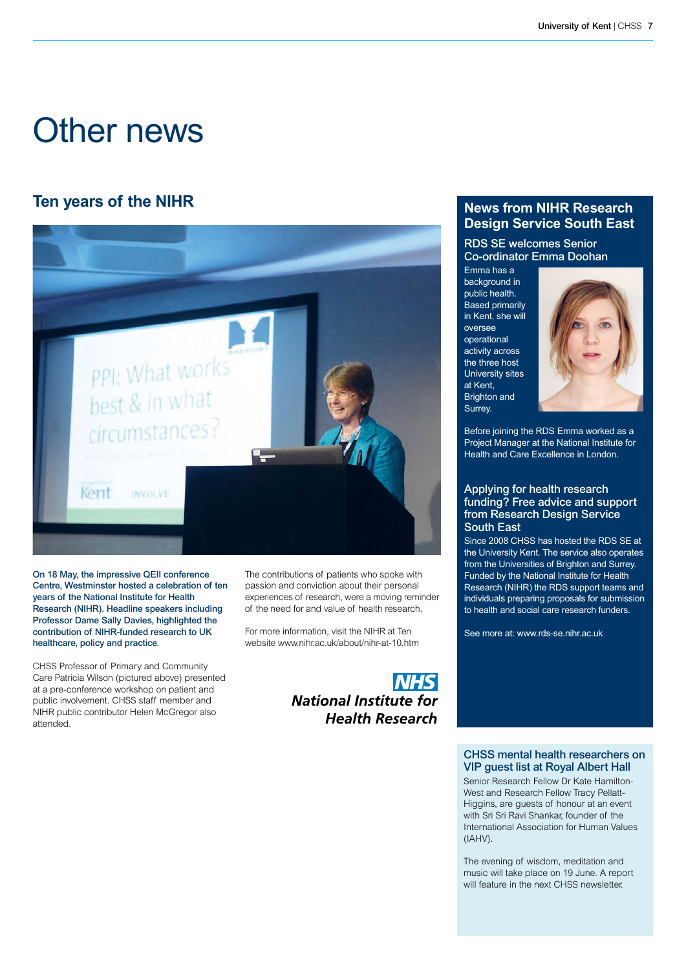# Other news

## **Ten years of the NIHR News from NIHR Research**



**On 18 May, the impressive QEII conference Centre, Westminster hosted a celebration of ten years of the National Institute for Health Research (NIHR). Headline speakers including Professor Dame Sally Davies, highlighted the contribution of NIHR-funded research to UK healthcare, policy and practice.**

CHSS Professor of Primary and Community Care Patricia Wilson (pictured above) presented at a pre-conference workshop on patient and public involvement. CHSS staff member and NIHR public contributor Helen McGregor also attended.

The contributions of patients who spoke with passion and conviction about their personal experiences of research, were a moving reminder of the need for and value of health research.

For more information, visit the NIHR at Ten website www.nihr.ac.uk/about/nihr-at-10.htm



## **Design Service South East**

**RDS SE welcomes Senior Co-ordinator Emma Doohan**

Emma has a background in public health. **Based primarily** in Kent, she will oversee operational activity across the three host University sites at Kent, Brighton and Surrey.



Before joining the RDS Emma worked as a Project Manager at the National Institute for Health and Care Excellence in London.

#### **Applying for health research funding? Free advice and support from Research Design Service South East**

Since 2008 CHSS has hosted the RDS SE at the University Kent. The service also operates from the Universities of Brighton and Surrey. Funded by the National Institute for Health Research (NIHR) the RDS support teams and individuals preparing proposals for submission to health and social care research funders.

See more at: www.rds-se.nihr.ac.uk

#### **CHSS mental health researchers on VIP guest list at Royal Albert Hall**

Senior Research Fellow Dr Kate Hamilton-West and Research Fellow Tracy Pellatt-Higgins, are guests of honour at an event with Sri Sri Ravi Shankar, founder of the International Association for Human Values (IAHV).

The evening of wisdom, meditation and music will take place on 19 June. A report will feature in the next CHSS newsletter.